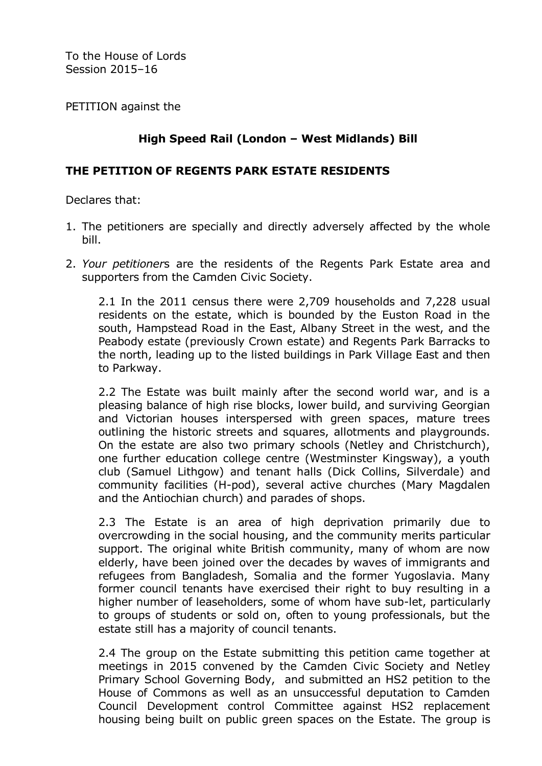To the House of Lords Session 2015–16

PETITION against the

# **High Speed Rail (London – West Midlands) Bill**

#### **THE PETITION OF REGENTS PARK ESTATE RESIDENTS**

Declares that:

- 1. The petitioners are specially and directly adversely affected by the whole bill.
- 2. *Your petitioner*s are the residents of the Regents Park Estate area and supporters from the Camden Civic Society.

2.1 In the 2011 census there were 2,709 households and 7,228 usual residents on the estate, which is bounded by the Euston Road in the south, Hampstead Road in the East, Albany Street in the west, and the Peabody estate (previously Crown estate) and Regents Park Barracks to the north, leading up to the listed buildings in Park Village East and then to Parkway.

2.2 The Estate was built mainly after the second world war, and is a pleasing balance of high rise blocks, lower build, and surviving Georgian and Victorian houses interspersed with green spaces, mature trees outlining the historic streets and squares, allotments and playgrounds. On the estate are also two primary schools (Netley and Christchurch), one further education college centre (Westminster Kingsway), a youth club (Samuel Lithgow) and tenant halls (Dick Collins, Silverdale) and community facilities (H-pod), several active churches (Mary Magdalen and the Antiochian church) and parades of shops.

2.3 The Estate is an area of high deprivation primarily due to overcrowding in the social housing, and the community merits particular support. The original white British community, many of whom are now elderly, have been joined over the decades by waves of immigrants and refugees from Bangladesh, Somalia and the former Yugoslavia. Many former council tenants have exercised their right to buy resulting in a higher number of leaseholders, some of whom have sub-let, particularly to groups of students or sold on, often to young professionals, but the estate still has a majority of council tenants.

2.4 The group on the Estate submitting this petition came together at meetings in 2015 convened by the Camden Civic Society and Netley Primary School Governing Body, and submitted an HS2 petition to the House of Commons as well as an unsuccessful deputation to Camden Council Development control Committee against HS2 replacement housing being built on public green spaces on the Estate. The group is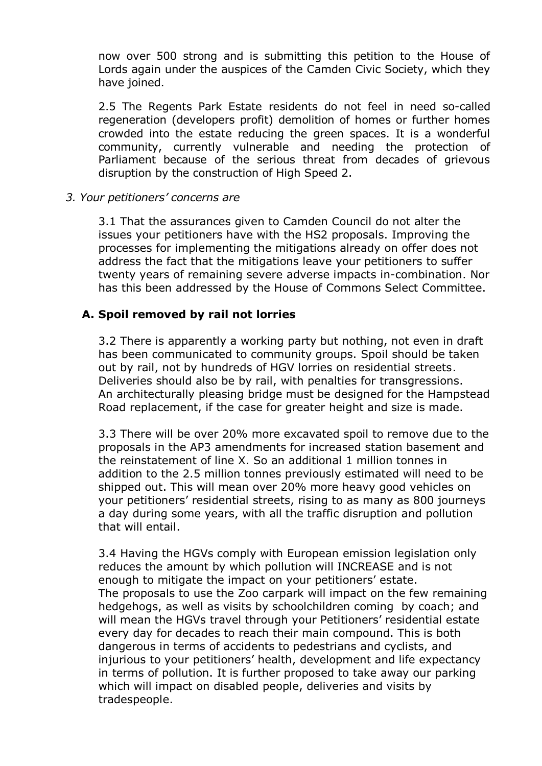now over 500 strong and is submitting this petition to the House of Lords again under the auspices of the Camden Civic Society, which they have joined.

2.5 The Regents Park Estate residents do not feel in need so-called regeneration (developers profit) demolition of homes or further homes crowded into the estate reducing the green spaces. It is a wonderful community, currently vulnerable and needing the protection of Parliament because of the serious threat from decades of grievous disruption by the construction of High Speed 2.

### *3. Your petitioners' concerns are*

3.1 That the assurances given to Camden Council do not alter the issues your petitioners have with the HS2 proposals. Improving the processes for implementing the mitigations already on offer does not address the fact that the mitigations leave your petitioners to suffer twenty years of remaining severe adverse impacts in-combination. Nor has this been addressed by the House of Commons Select Committee.

# **A. Spoil removed by rail not lorries**

3.2 There is apparently a working party but nothing, not even in draft has been communicated to community groups. Spoil should be taken out by rail, not by hundreds of HGV lorries on residential streets. Deliveries should also be by rail, with penalties for transgressions. An architecturally pleasing bridge must be designed for the Hampstead Road replacement, if the case for greater height and size is made.

3.3 There will be over 20% more excavated spoil to remove due to the proposals in the AP3 amendments for increased station basement and the reinstatement of line X. So an additional 1 million tonnes in addition to the 2.5 million tonnes previously estimated will need to be shipped out. This will mean over 20% more heavy good vehicles on your petitioners' residential streets, rising to as many as 800 journeys a day during some years, with all the traffic disruption and pollution that will entail.

3.4 Having the HGVs comply with European emission legislation only reduces the amount by which pollution will INCREASE and is not enough to mitigate the impact on your petitioners' estate. The proposals to use the Zoo carpark will impact on the few remaining hedgehogs, as well as visits by schoolchildren coming by coach; and will mean the HGVs travel through your Petitioners' residential estate every day for decades to reach their main compound. This is both dangerous in terms of accidents to pedestrians and cyclists, and injurious to your petitioners' health, development and life expectancy in terms of pollution. It is further proposed to take away our parking which will impact on disabled people, deliveries and visits by tradespeople.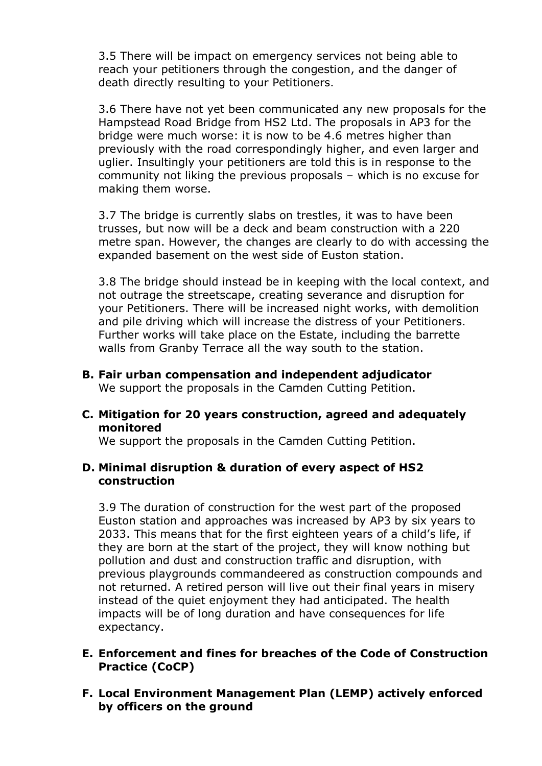3.5 There will be impact on emergency services not being able to reach your petitioners through the congestion, and the danger of death directly resulting to your Petitioners.

3.6 There have not yet been communicated any new proposals for the Hampstead Road Bridge from HS2 Ltd. The proposals in AP3 for the bridge were much worse: it is now to be 4.6 metres higher than previously with the road correspondingly higher, and even larger and uglier. Insultingly your petitioners are told this is in response to the community not liking the previous proposals – which is no excuse for making them worse.

3.7 The bridge is currently slabs on trestles, it was to have been trusses, but now will be a deck and beam construction with a 220 metre span. However, the changes are clearly to do with accessing the expanded basement on the west side of Euston station.

3.8 The bridge should instead be in keeping with the local context, and not outrage the streetscape, creating severance and disruption for your Petitioners. There will be increased night works, with demolition and pile driving which will increase the distress of your Petitioners. Further works will take place on the Estate, including the barrette walls from Granby Terrace all the way south to the station.

- **B. Fair urban compensation and independent adjudicator**  We support the proposals in the Camden Cutting Petition.
- **C. Mitigation for 20 years construction, agreed and adequately monitored**

We support the proposals in the Camden Cutting Petition.

### **D. Minimal disruption & duration of every aspect of HS2 construction**

3.9 The duration of construction for the west part of the proposed Euston station and approaches was increased by AP3 by six years to 2033. This means that for the first eighteen years of a child's life, if they are born at the start of the project, they will know nothing but pollution and dust and construction traffic and disruption, with previous playgrounds commandeered as construction compounds and not returned. A retired person will live out their final years in misery instead of the quiet enjoyment they had anticipated. The health impacts will be of long duration and have consequences for life expectancy.

- **E. Enforcement and fines for breaches of the Code of Construction Practice (CoCP)**
- **F. Local Environment Management Plan (LEMP) actively enforced by officers on the ground**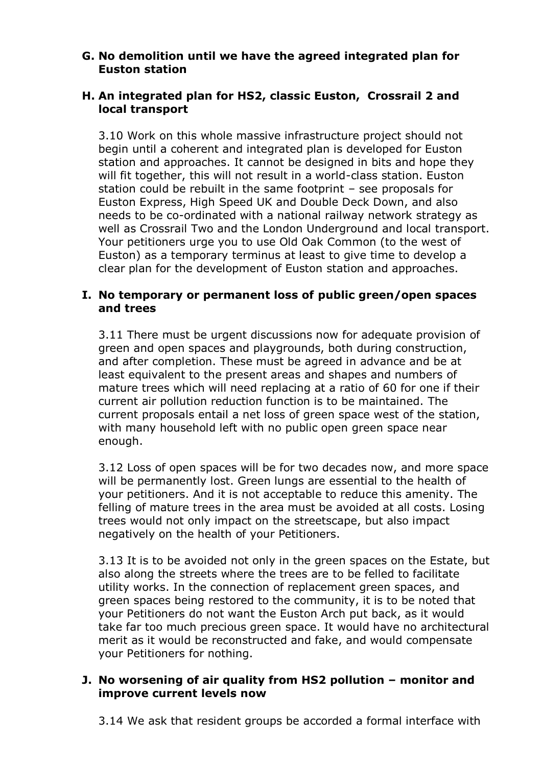### **G. No demolition until we have the agreed integrated plan for Euston station**

# **H. An integrated plan for HS2, classic Euston, Crossrail 2 and local transport**

3.10 Work on this whole massive infrastructure project should not begin until a coherent and integrated plan is developed for Euston station and approaches. It cannot be designed in bits and hope they will fit together, this will not result in a world-class station. Euston station could be rebuilt in the same footprint – see proposals for Euston Express, High Speed UK and Double Deck Down, and also needs to be co-ordinated with a national railway network strategy as well as Crossrail Two and the London Underground and local transport. Your petitioners urge you to use Old Oak Common (to the west of Euston) as a temporary terminus at least to give time to develop a clear plan for the development of Euston station and approaches.

# **I. No temporary or permanent loss of public green/open spaces and trees**

3.11 There must be urgent discussions now for adequate provision of green and open spaces and playgrounds, both during construction, and after completion. These must be agreed in advance and be at least equivalent to the present areas and shapes and numbers of mature trees which will need replacing at a ratio of 60 for one if their current air pollution reduction function is to be maintained. The current proposals entail a net loss of green space west of the station, with many household left with no public open green space near enough.

3.12 Loss of open spaces will be for two decades now, and more space will be permanently lost. Green lungs are essential to the health of your petitioners. And it is not acceptable to reduce this amenity. The felling of mature trees in the area must be avoided at all costs. Losing trees would not only impact on the streetscape, but also impact negatively on the health of your Petitioners.

3.13 It is to be avoided not only in the green spaces on the Estate, but also along the streets where the trees are to be felled to facilitate utility works. In the connection of replacement green spaces, and green spaces being restored to the community, it is to be noted that your Petitioners do not want the Euston Arch put back, as it would take far too much precious green space. It would have no architectural merit as it would be reconstructed and fake, and would compensate your Petitioners for nothing.

# **J. No worsening of air quality from HS2 pollution – monitor and improve current levels now**

3.14 We ask that resident groups be accorded a formal interface with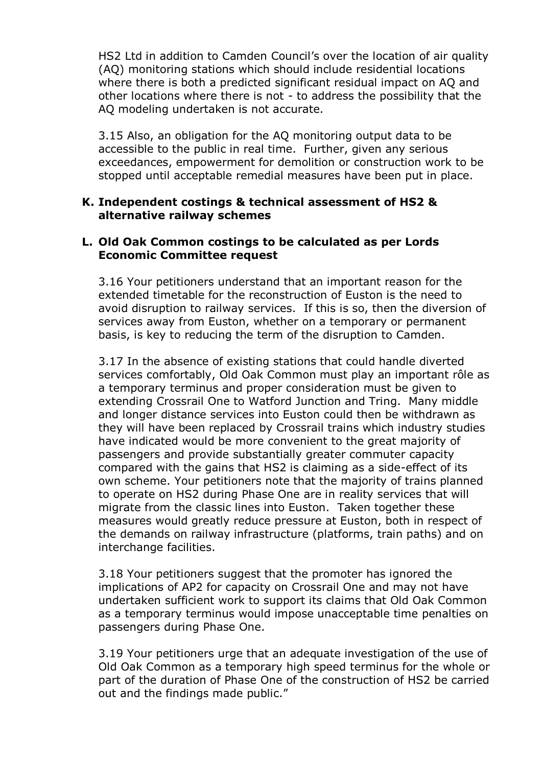HS2 Ltd in addition to Camden Council's over the location of air quality (AQ) monitoring stations which should include residential locations where there is both a predicted significant residual impact on AQ and other locations where there is not - to address the possibility that the AQ modeling undertaken is not accurate.

3.15 Also, an obligation for the AQ monitoring output data to be accessible to the public in real time. Further, given any serious exceedances, empowerment for demolition or construction work to be stopped until acceptable remedial measures have been put in place.

### **K. Independent costings & technical assessment of HS2 & alternative railway schemes**

#### **L. Old Oak Common costings to be calculated as per Lords Economic Committee request**

3.16 Your petitioners understand that an important reason for the extended timetable for the reconstruction of Euston is the need to avoid disruption to railway services. If this is so, then the diversion of services away from Euston, whether on a temporary or permanent basis, is key to reducing the term of the disruption to Camden.

3.17 In the absence of existing stations that could handle diverted services comfortably, Old Oak Common must play an important rôle as a temporary terminus and proper consideration must be given to extending Crossrail One to Watford Junction and Tring. Many middle and longer distance services into Euston could then be withdrawn as they will have been replaced by Crossrail trains which industry studies have indicated would be more convenient to the great majority of passengers and provide substantially greater commuter capacity compared with the gains that HS2 is claiming as a side-effect of its own scheme. Your petitioners note that the majority of trains planned to operate on HS2 during Phase One are in reality services that will migrate from the classic lines into Euston. Taken together these measures would greatly reduce pressure at Euston, both in respect of the demands on railway infrastructure (platforms, train paths) and on interchange facilities.

3.18 Your petitioners suggest that the promoter has ignored the implications of AP2 for capacity on Crossrail One and may not have undertaken sufficient work to support its claims that Old Oak Common as a temporary terminus would impose unacceptable time penalties on passengers during Phase One.

3.19 Your petitioners urge that an adequate investigation of the use of Old Oak Common as a temporary high speed terminus for the whole or part of the duration of Phase One of the construction of HS2 be carried out and the findings made public."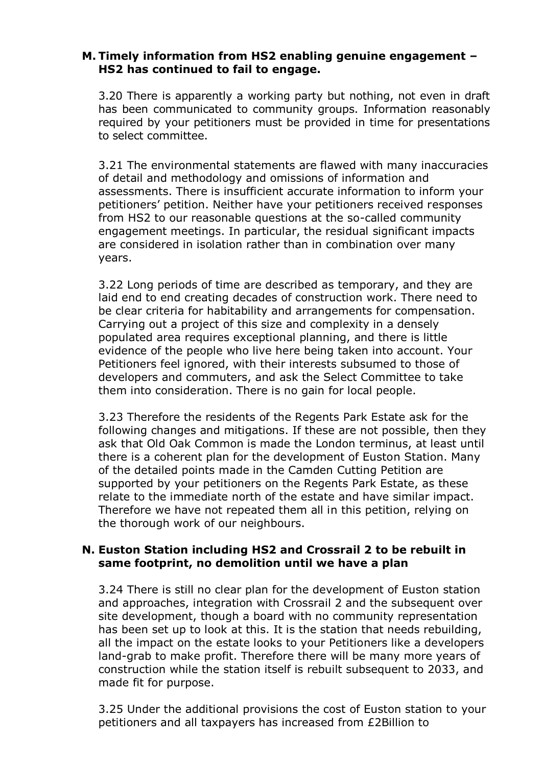### **M. Timely information from HS2 enabling genuine engagement – HS2 has continued to fail to engage.**

3.20 There is apparently a working party but nothing, not even in draft has been communicated to community groups. Information reasonably required by your petitioners must be provided in time for presentations to select committee.

3.21 The environmental statements are flawed with many inaccuracies of detail and methodology and omissions of information and assessments. There is insufficient accurate information to inform your petitioners' petition. Neither have your petitioners received responses from HS2 to our reasonable questions at the so-called community engagement meetings. In particular, the residual significant impacts are considered in isolation rather than in combination over many years.

3.22 Long periods of time are described as temporary, and they are laid end to end creating decades of construction work. There need to be clear criteria for habitability and arrangements for compensation. Carrying out a project of this size and complexity in a densely populated area requires exceptional planning, and there is little evidence of the people who live here being taken into account. Your Petitioners feel ignored, with their interests subsumed to those of developers and commuters, and ask the Select Committee to take them into consideration. There is no gain for local people.

3.23 Therefore the residents of the Regents Park Estate ask for the following changes and mitigations. If these are not possible, then they ask that Old Oak Common is made the London terminus, at least until there is a coherent plan for the development of Euston Station. Many of the detailed points made in the Camden Cutting Petition are supported by your petitioners on the Regents Park Estate, as these relate to the immediate north of the estate and have similar impact. Therefore we have not repeated them all in this petition, relying on the thorough work of our neighbours.

### **N. Euston Station including HS2 and Crossrail 2 to be rebuilt in same footprint, no demolition until we have a plan**

3.24 There is still no clear plan for the development of Euston station and approaches, integration with Crossrail 2 and the subsequent over site development, though a board with no community representation has been set up to look at this. It is the station that needs rebuilding, all the impact on the estate looks to your Petitioners like a developers land-grab to make profit. Therefore there will be many more years of construction while the station itself is rebuilt subsequent to 2033, and made fit for purpose.

3.25 Under the additional provisions the cost of Euston station to your petitioners and all taxpayers has increased from £2Billion to